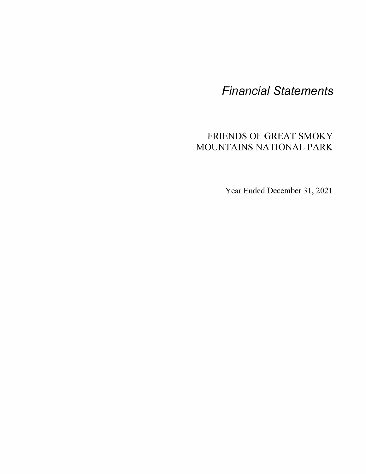**Financial Statements** 

# FRIENDS OF GREAT SMOKY MOUNTAINS NATIONAL PARK

Year Ended December 31, 2021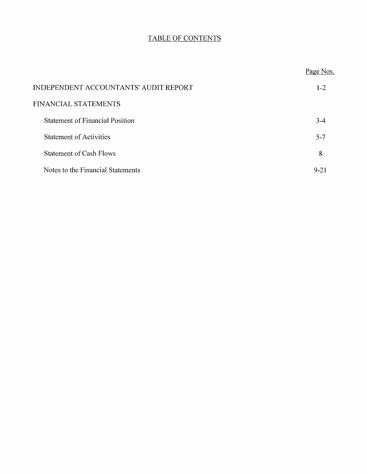# TABLE OF CONTENTS

|                                        | Page Nos. |
|----------------------------------------|-----------|
| INDEPENDENT ACCOUNTANTS' AUDIT REPORT  | $1-2$     |
| <b>FINANCIAL STATEMENTS</b>            |           |
| <b>Statement of Financial Position</b> | $3-4$     |
| <b>Statement of Activities</b>         | $5 - 7$   |
| <b>Statement of Cash Flows</b>         | 8         |
| Notes to the Financial Statements      | 9-21      |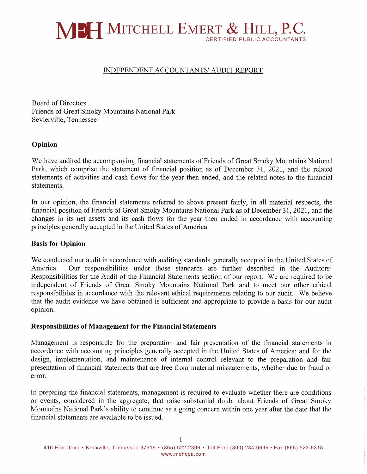

### INDEPENDENT ACCOUNTANTS' AUDIT REPORT

Board of Directors Friends of Great Smoky Mountains National Park Sevierville, Tennessee

### **Opinion**

We have audited the accompanying financial statements of Friends of Great Smoky Mountains National Park, which comprise the statement of financial position as of December 31, 2021, and the related statements of activities and cash flows for the year then ended, and the related notes to the financial statements.

In our opinion, the financial statements referred to above present fairly, in all material respects, the financial position of Friends of Great Smoky Mountains National Park as of December 31, 2021, and the changes in its net assets and its cash flows for the year then ended in accordance with accounting principles generally accepted in the United States of America.

#### **Basis for Opinion**

We conducted our audit in accordance with auditing standards generally accepted in the United States of America. Our responsibilities under those standards are further described in the Auditors' Responsibilities for the Audit of the Financial Statements section of our report. We are required to be independent of Friends of Great Smoky Mountains National Park and to meet our other ethical responsibilities in accordance with the relevant ethical requirements relating to our audit. We believe that the audit evidence we have obtained is sufficient and appropriate to provide a basis for our audit opinion.

#### **Responsibilities of Management for the Financial Statements**

Management is responsible for the preparation and fair presentation of the financial statements in accordance with accounting principles generally accepted in the United States of America; and for the design, implementation, and maintenance of internal control relevant to the preparation and fair presentation of financial statements that are free from material misstatements, whether due to fraud or error.

In preparing the financial statements, management is required to evaluate whether there are conditions or events, considered in the aggregate, that raise substantial doubt about Friends of Great Smoky Mountains National Park's ability to continue as a going concern within one year after the date that the financial statements are available to be issued.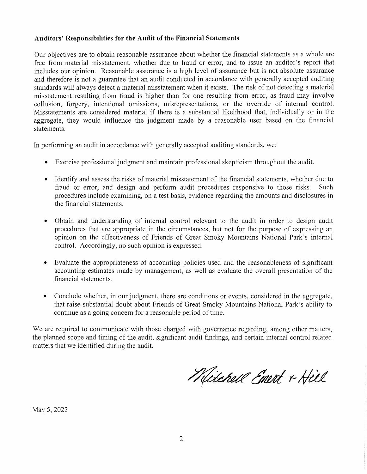### **Auditors' Responsibilities for the Audit of the Financial Statements**

Our objectives are to obtain reasonable assurance about whether the financial statements as a whole are free from material misstatement, whether due to fraud or error, and to issue an auditor's report that includes our opinion. Reasonable assurance is a high level of assurance but is not absolute assurance and therefore is not a guarantee that an audit conducted in accordance with generally accepted auditing standards will always detect a material misstatement when it exists. The risk of not detecting a material misstatement resulting from fraud is higher than for one resulting from error, as fraud may involve collusion, forgery, intentional omissions, misrepresentations, or the override of internal control. Misstatements are considered material if there is a substantial likelihood that, individually or in the aggregate, they would influence the judgment made by a reasonable user based on the financial statements.

In performing an audit in accordance with generally accepted auditing standards, we:

- Exercise professional judgment and maintain professional skepticism throughout the audit.
- Identify and assess the risks of material misstatement of the financial statements, whether due to fraud or error, and design and perform audit procedures responsive to those risks. Such procedures include examining, on a test basis, evidence regarding the amounts and disclosures in the financial statements.
- Obtain and understanding of internal control relevant to the audit in order to design audit procedures that are appropriate in the circumstances, but not for the purpose of expressing an opinion on the effectiveness of Friends of Great Smoky Mountains National Park's internal control. Accordingly, no such opinion is expressed.
- Evaluate the appropriateness of accounting policies used and the reasonableness of significant accounting estimates made by management, as well as evaluate the overall presentation of the financial statements.
- Conclude whether, in our judgment, there are conditions or events, considered in the aggregate, that raise substantial doubt about Friends of Great Smoky Mountains National Park's ability to continue as a going concern for a reasonable period of time.

We are required to communicate with those charged with governance regarding, among other matters, the planned scope and timing of the audit, significant audit findings, and certain internal control related matters that we identified during the audit.

Mitchell Emert & Hill

May 5, 2022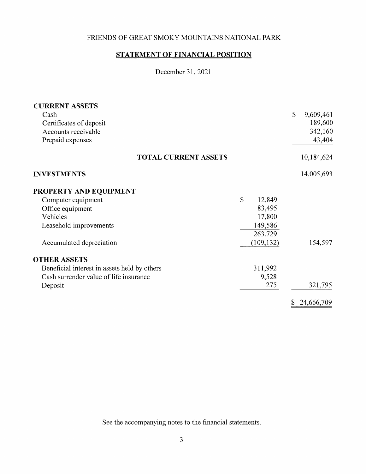# **STATEMENT OF FINANCIAL POSITION**

December 31, 2021

| <b>CURRENT ASSETS</b>                        |              |            |                  |
|----------------------------------------------|--------------|------------|------------------|
| Cash                                         |              |            | \$<br>9,609,461  |
| Certificates of deposit                      |              |            | 189,600          |
| Accounts receivable                          |              |            | 342,160          |
| Prepaid expenses                             |              |            | 43,404           |
| <b>TOTAL CURRENT ASSETS</b>                  |              |            | 10,184,624       |
| <b>INVESTMENTS</b>                           |              |            | 14,005,693       |
| PROPERTY AND EQUIPMENT                       |              |            |                  |
| Computer equipment                           | $\mathbb{S}$ | 12,849     |                  |
| Office equipment                             |              | 83,495     |                  |
| Vehicles                                     |              | 17,800     |                  |
| Leasehold improvements                       |              | 149,586    |                  |
|                                              |              | 263,729    |                  |
| Accumulated depreciation                     |              | (109, 132) | 154,597          |
| <b>OTHER ASSETS</b>                          |              |            |                  |
| Beneficial interest in assets held by others |              | 311,992    |                  |
| Cash surrender value of life insurance       |              | 9,528      |                  |
| Deposit                                      |              | 275        | 321,795          |
|                                              |              |            | \$<br>24,666,709 |

See the accompanying notes to the financial statements.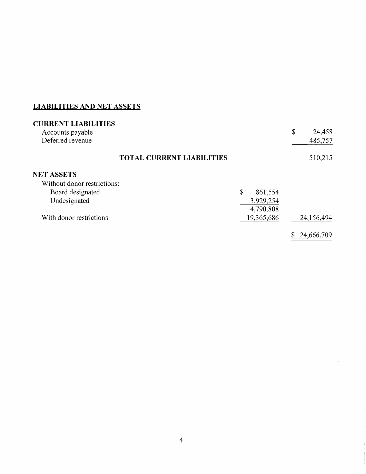# **LIABILITIES AND NET ASSETS**

| <b>CURRENT LIABILITIES</b><br>Accounts payable<br>Deferred revenue |                                  |               | \$<br>24,458<br>485,757 |
|--------------------------------------------------------------------|----------------------------------|---------------|-------------------------|
|                                                                    | <b>TOTAL CURRENT LIABILITIES</b> |               | 510,215                 |
| <b>NET ASSETS</b>                                                  |                                  |               |                         |
| Without donor restrictions:                                        |                                  |               |                         |
| Board designated                                                   |                                  | \$<br>861,554 |                         |
| Undesignated                                                       |                                  | 3,929,254     |                         |
|                                                                    |                                  | 4,790,808     |                         |
| With donor restrictions                                            |                                  | 19,365,686    | 24,156,494              |
|                                                                    |                                  |               | 24,666,709              |

 $\sim 10^7$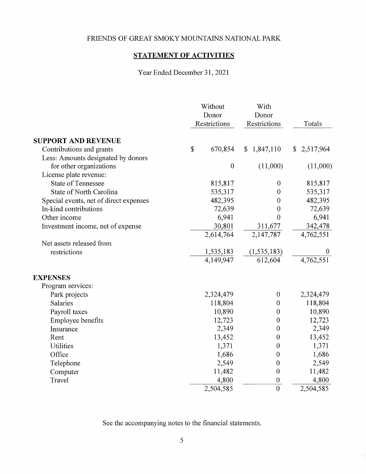# **STATEMENT OF ACTIVITIES**

Year Ended December 31, 2021

| Without<br>Donor<br>Restrictions       |    | With<br>Donor<br>Restrictions | Totals                    |                           |
|----------------------------------------|----|-------------------------------|---------------------------|---------------------------|
| <b>SUPPORT AND REVENUE</b>             |    |                               |                           |                           |
| Contributions and grants               | \$ | 670,854                       | 1,847,110<br>$\mathbb{S}$ | 2,517,964<br>$\mathbb{S}$ |
| Less: Amounts designated by donors     |    |                               |                           |                           |
| for other organizations                |    | $\boldsymbol{0}$              | (11,000)                  | (11,000)                  |
| License plate revenue:                 |    |                               |                           |                           |
| <b>State of Tennessee</b>              |    | 815,817                       | $\boldsymbol{0}$          | 815,817                   |
| State of North Carolina                |    | 535,317                       | $\boldsymbol{0}$          | 535,317                   |
| Special events, net of direct expenses |    | 482,395                       | $\overline{0}$            | 482,395                   |
| In-kind contributions                  |    | 72,639                        | $\mathbf{0}$              | 72,639                    |
| Other income                           |    | 6,941                         | $\theta$                  | 6,941                     |
| Investment income, net of expense      |    | 30,801                        | 311,677                   | 342,478                   |
|                                        |    | 2,614,764                     | 2,147,787                 | 4,762,551                 |
| Net assets released from               |    |                               |                           |                           |
| restrictions                           |    | 1,535,183                     | (1, 535, 183)             |                           |
|                                        |    | 4,149,947                     | 612,604                   | 4,762,551                 |
| <b>EXPENSES</b>                        |    |                               |                           |                           |
| Program services:                      |    |                               |                           |                           |
| Park projects                          |    | 2,324,479                     | $\boldsymbol{0}$          | 2,324,479                 |
| Salaries                               |    | 118,804                       | $\boldsymbol{0}$          | 118,804                   |
| Payroll taxes                          |    | 10,890                        | $\boldsymbol{0}$          | 10,890                    |
| Employee benefits                      |    | 12,723                        | $\boldsymbol{0}$          | 12,723                    |
| Insurance                              |    | 2,349                         | $\mathbf{0}$              | 2,349                     |
| Rent                                   |    | 13,452                        | $\boldsymbol{0}$          | 13,452                    |
| Utilities                              |    | 1,371                         | $\boldsymbol{0}$          | 1,371                     |
| Office                                 |    | 1,686                         | $\theta$                  | 1,686                     |
| Telephone                              |    | 2,549                         | $\boldsymbol{0}$          | 2,549                     |
| Computer                               |    | 11,482                        | $\boldsymbol{0}$          | 11,482                    |
| Travel                                 |    | 4,800                         | $\theta$                  | 4,800                     |
|                                        |    | 2,504,585                     | $\overline{0}$            | 2,504,585                 |

See the accompanying notes to the financial statements.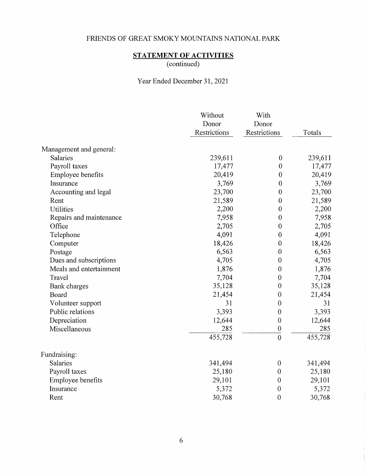# **STATEMENT OF ACTIVITIES**

(continued)

Year Ended December 31, 2021

|                         | Without      | With             |         |
|-------------------------|--------------|------------------|---------|
|                         | Donor        | Donor            |         |
|                         | Restrictions | Restrictions     | Totals  |
| Management and general: |              |                  |         |
| <b>Salaries</b>         | 239,611      | $\boldsymbol{0}$ | 239,611 |
| Payroll taxes           | 17,477       | $\boldsymbol{0}$ | 17,477  |
| Employee benefits       | 20,419       | $\mathbf{0}$     | 20,419  |
| Insurance               | 3,769        | $\boldsymbol{0}$ | 3,769   |
| Accounting and legal    | 23,700       | $\boldsymbol{0}$ | 23,700  |
| Rent                    | 21,589       | $\boldsymbol{0}$ | 21,589  |
| <b>Utilities</b>        | 2,200        | $\overline{0}$   | 2,200   |
| Repairs and maintenance | 7,958        | $\theta$         | 7,958   |
| Office                  | 2,705        | $\boldsymbol{0}$ | 2,705   |
| Telephone               | 4,091        | $\boldsymbol{0}$ | 4,091   |
| Computer                | 18,426       | $\boldsymbol{0}$ | 18,426  |
| Postage                 | 6,563        | $\boldsymbol{0}$ | 6,563   |
| Dues and subscriptions  | 4,705        | $\boldsymbol{0}$ | 4,705   |
| Meals and entertainment | 1,876        | $\boldsymbol{0}$ | 1,876   |
| Travel                  | 7,704        | $\boldsymbol{0}$ | 7,704   |
| Bank charges            | 35,128       | $\boldsymbol{0}$ | 35,128  |
| Board                   | 21,454       | $\boldsymbol{0}$ | 21,454  |
| Volunteer support       | 31           | $\boldsymbol{0}$ | 31      |
| Public relations        | 3,393        | $\boldsymbol{0}$ | 3,393   |
| Depreciation            | 12,644       | $\boldsymbol{0}$ | 12,644  |
| Miscellaneous           | 285          | $\boldsymbol{0}$ | 285     |
|                         | 455,728      | $\overline{0}$   | 455,728 |
| Fundraising:            |              |                  |         |
| Salaries                | 341,494      | $\boldsymbol{0}$ | 341,494 |
| Payroll taxes           | 25,180       | $\boldsymbol{0}$ | 25,180  |
| Employee benefits       | 29,101       | $\boldsymbol{0}$ | 29,101  |
| Insurance               | 5,372        | $\mathbf 0$      | 5,372   |
| Rent                    | 30,768       | $\boldsymbol{0}$ | 30,768  |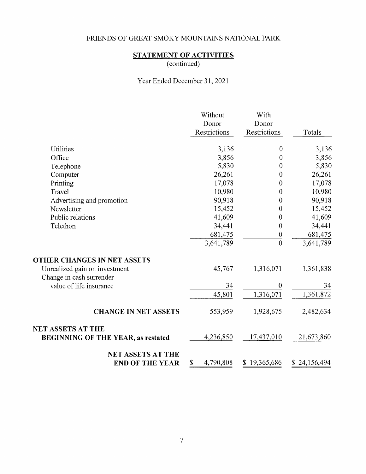# **STATEMENT OF ACTIVITIES**

(continued)

Year Ended December 31, 2021

|                                                           | Without         | With             |              |
|-----------------------------------------------------------|-----------------|------------------|--------------|
|                                                           | Donor           | Donor            |              |
|                                                           | Restrictions    | Restrictions     | Totals       |
| Utilities                                                 | 3,136           | $\theta$         | 3,136        |
| Office                                                    | 3,856           | $\boldsymbol{0}$ | 3,856        |
| Telephone                                                 | 5,830           | $\mathbf{0}$     | 5,830        |
| Computer                                                  | 26,261          | 0                | 26,261       |
| Printing                                                  | 17,078          | 0                | 17,078       |
| Travel                                                    | 10,980          | $\boldsymbol{0}$ | 10,980       |
| Advertising and promotion                                 | 90,918          | 0                | 90,918       |
| Newsletter                                                | 15,452          | 0                | 15,452       |
| Public relations                                          | 41,609          | 0                | 41,609       |
| Telethon                                                  | 34,441          | $\boldsymbol{0}$ | 34,441       |
|                                                           | 681,475         | $\boldsymbol{0}$ | 681,475      |
|                                                           | 3,641,789       | $\overline{0}$   | 3,641,789    |
| OTHER CHANGES IN NET ASSETS                               |                 |                  |              |
| Unrealized gain on investment<br>Change in cash surrender | 45,767          | 1,316,071        | 1,361,838    |
| value of life insurance                                   | 34              | $\theta$         | 34           |
|                                                           | 45,801          | 1,316,071        | 1,361,872    |
| <b>CHANGE IN NET ASSETS</b>                               | 553,959         | 1,928,675        | 2,482,634    |
| <b>NET ASSETS AT THE</b>                                  |                 |                  |              |
| <b>BEGINNING OF THE YEAR, as restated</b>                 | 4,236,850       | 17,437,010       | 21,673,860   |
| <b>NET ASSETS AT THE</b>                                  |                 |                  |              |
| <b>END OF THE YEAR</b>                                    | 4,790,808<br>\$ | \$19,365,686     | \$24,156,494 |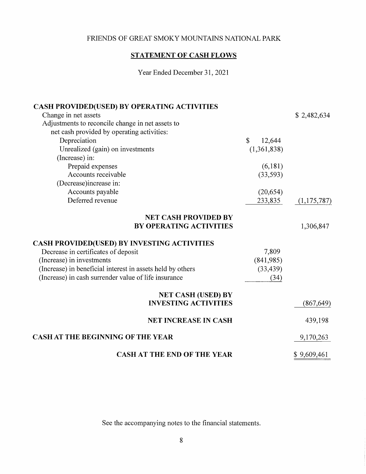# **STATEMENT OF CASH FLOWS**

Year Ended December 31, 2021

| <b>CASH PROVIDED(USED) BY OPERATING ACTIVITIES</b>         |                              |             |
|------------------------------------------------------------|------------------------------|-------------|
| Change in net assets                                       |                              | \$2,482,634 |
| Adjustments to reconcile change in net assets to           |                              |             |
| net cash provided by operating activities:                 |                              |             |
| Depreciation                                               | $\mathbf{\hat{S}}$<br>12,644 |             |
| Unrealized (gain) on investments                           | (1,361,838)                  |             |
| (Increase) in:                                             |                              |             |
| Prepaid expenses                                           | (6,181)                      |             |
| Accounts receivable                                        | (33,593)                     |             |
| (Decrease)increase in:                                     |                              |             |
| Accounts payable                                           | (20, 654)                    |             |
| Deferred revenue                                           | 233,835                      | (1,175,787) |
| <b>NET CASH PROVIDED BY</b>                                |                              |             |
| <b>BY OPERATING ACTIVITIES</b>                             |                              | 1,306,847   |
| <b>CASH PROVIDED(USED) BY INVESTING ACTIVITIES</b>         |                              |             |
| Decrease in certificates of deposit                        | 7,809                        |             |
| (Increase) in investments                                  | (841,985)                    |             |
| (Increase) in beneficial interest in assets held by others | (33, 439)                    |             |
| (Increase) in cash surrender value of life insurance       | (34)                         |             |
| <b>NET CASH (USED) BY</b>                                  |                              |             |
| <b>INVESTING ACTIVITIES</b>                                |                              | (867, 649)  |
| <b>NET INCREASE IN CASH</b>                                |                              | 439,198     |
| <b>CASH AT THE BEGINNING OF THE YEAR</b>                   |                              | 9,170,263   |
| <b>CASH AT THE END OF THE YEAR</b>                         |                              | \$9,609,461 |

See the accompanying notes to the financial statements.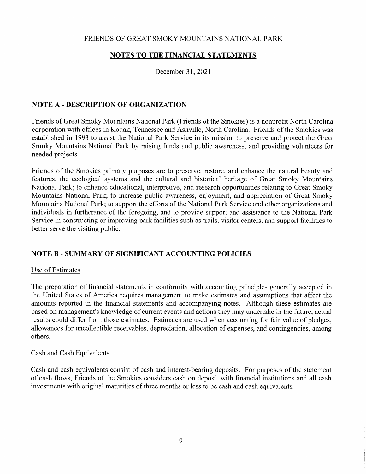### **NOTES TO THE FINANCIAL STATEMENTS**

December 31, 2021

### **NOTE A** - **DESCRIPTION OF ORGANIZATION**

Friends of Great Smoky Mountains National Park (Friends of the Smokies) is a nonprofit North Carolina corporation with offices in Kodak, Tennessee and Ashville, North Carolina. Friends of the Smokies was established in 1993 to assist the National Park Service in its mission to preserve and protect the Great Smoky Mountains National Park by raising funds and public awareness, and providing volunteers for needed projects.

Friends of the Smokies primary purposes are to preserve, restore, and enhance the natural beauty and features, the ecological systems and the cultural and historical heritage of Great Smoky Mountains National Park; to enhance educational, interpretive, and research opportunities relating to Great Smoky Mountains National Park; to increase public awareness, enjoyment, and appreciation of Great Smoky Mountains National Park; to support the efforts of the National Park Service and other organizations and individuals in furtherance of the foregoing, and to provide support and assistance to the National Park Service in constructing or improving park facilities such as trails, visitor centers, and support facilities to better serve the visiting public.

## **NOTE B - SUMMARY OF SIGNIFICANT ACCOUNTING POLICIES**

#### Use of Estimates

The preparation of financial statements in conformity with accounting principles generally accepted in the United States of America requires management to make estimates and assumptions that affect the amounts reported in the financial statements and accompanying notes. Although these estimates are based on management's knowledge of current events and actions they may undertake in the future, actual results could differ from those estimates. Estimates are used when accounting for fair value of pledges, allowances for uncollectible receivables, depreciation, allocation of expenses, and contingencies, among others.

#### Cash and Cash Equivalents

Cash and cash equivalents consist of cash and interest-bearing deposits. For purposes of the statement of cash flows, Friends of the Smokies considers cash on deposit with financial institutions and all cash investments with original maturities of three months or less to be cash and cash equivalents.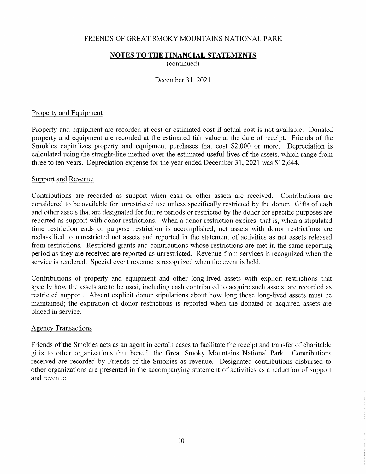#### **NOTES TO THE FINANCIAL STATEMENTS**

( continued)

December 31, 2021

#### Property and Equipment

Property and equipment are recorded at cost or estimated cost if actual cost is not available. Donated property and equipment are recorded at the estimated fair value at the date of receipt. Friends of the Smokies capitalizes property and equipment purchases that cost \$2,000 or more. Depreciation is calculated using the straight-line method over the estimated useful lives of the assets, which range from three to ten years. Depreciation expense for the year ended December 31, 2021 was \$12,644.

#### Support and Revenue

Contributions are recorded as support when cash or other assets are received. Contributions are considered to be available for unrestricted use unless specifically restricted by the donor. Gifts of cash and other assets that are designated for future periods or restricted by the donor for specific purposes are reported as support with donor restrictions. When a donor restriction expires, that is, when a stipulated time restriction ends or purpose restriction is accomplished, net assets with donor restrictions are reclassified to unrestricted net assets and reported in the statement of activities as net assets released from restrictions. Restricted grants and contributions whose restrictions are met in the same reporting period as they are received are reported as unrestricted. Revenue from services is recognized when the service is rendered. Special event revenue is recognized when the event is held.

Contributions of property and equipment and other long-lived assets with explicit restrictions that specify how the assets are to be used, including cash contributed to acquire such assets, are recorded as restricted support. Absent explicit donor stipulations about how long those long-lived assets must be maintained; the expiration of donor restrictions is reported when the donated or acquired assets are placed in service.

#### Agency Transactions

Friends of the Smokies acts as an agent in certain cases to facilitate the receipt and transfer of charitable gifts to other organizations that benefit the Great Smoky Mountains National Park. Contributions received are recorded by Friends of the Smokies as revenue. Designated contributions disbursed to other organizations are presented in the accompanying statement of activities as a reduction of support and revenue.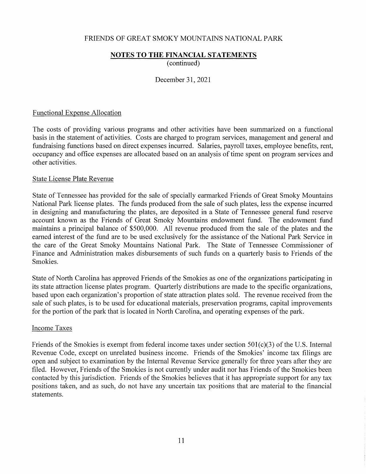# **NOTES TO THE FINANCIAL STATEMENTS**

( continued)

December 31, 2021

#### Functional Expense Allocation

The costs of providing various programs and other activities have been summarized on a functional basis in the statement of activities. Costs are charged to program services, management and general and fundraising functions based on direct expenses incurred. Salaries, payroll taxes, employee benefits, rent, occupancy and office expenses are allocated based on an analysis of time spent on program services and other activities.

#### State License Plate Revenue

State of Tennessee has provided for the sale of specially earmarked Friends of Great Smoky Mountains National Park license plates. The funds produced from the sale of such plates, less the expense incurred in designing and manufacturing the plates, are deposited in a State of Tennessee general fund reserve account known as the Friends of Great Smoky Mountains endowment fund. The endowment fund maintains a principal balance of \$500,000. All revenue produced from the sale of the plates and the earned interest of the fund are to be used exclusively for the assistance of the National Park Service in the care of the Great Smoky Mountains National Park. The State of Tennessee Commissioner of Finance and Administration makes disbursements of such funds on a quarterly basis to Friends of the Smokies.

State of North Carolina has approved Friends of the Smokies as one of the organizations participating in its state attraction license plates program. Quarterly distributions are made to the specific organizations, based upon each organization's proportion of state attraction plates sold. The revenue received from the sale of such plates, is to be used for educational materials, preservation programs, capital improvements for the portion of the park that is located in North Carolina, and operating expenses of the park.

### Income Taxes

Friends of the Smokies is exempt from federal income taxes under section  $501(c)(3)$  of the U.S. Internal Revenue Code, except on unrelated business income. Friends of the Smokies' income tax filings are open and subject to examination by the Internal Revenue Service generally for three years after they are filed. However, Friends of the Smokies is not currently under audit nor has Friends of the Smokies been contacted by this jurisdiction. Friends of the Smokies believes that it has appropriate support for any tax positions taken, and as such, do not have any uncertain tax positions that are material to the financial statements.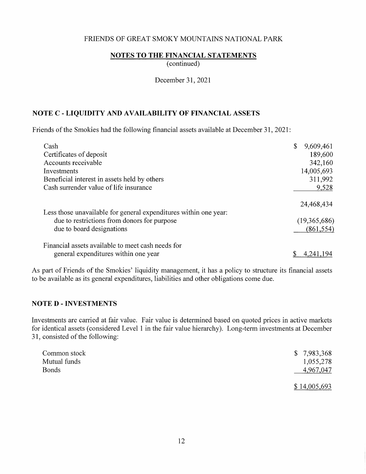### **NOTES TO THE FINANCIAL STATEMENTS**

( continued)

December 31, 2021

## **NOTE C** - **LIQUIDITY AND AVAILABILITY OF FINANCIAL ASSETS**

Friends of the Smokies had the following financial assets available at December 31, 2021:

| Cash                                                             | \$<br>9,609,461 |
|------------------------------------------------------------------|-----------------|
| Certificates of deposit                                          | 189,600         |
| Accounts receivable                                              | 342,160         |
| Investments                                                      | 14,005,693      |
| Beneficial interest in assets held by others                     | 311,992         |
| Cash surrender value of life insurance                           | 9,528           |
| Less those unavailable for general expenditures within one year: | 24,468,434      |
| due to restrictions from donors for purpose                      | (19,365,686)    |
| due to board designations                                        | (861, 554)      |
| Financial assets available to meet cash needs for                |                 |
| general expenditures within one year                             | 4.241.194       |

As part of Friends of the Smokies' liquidity management, it has a policy to structure its financial assets to be available as its general expenditures, liabilities and other obligations come due.

## **NOTED - INVESTMENTS**

Investments are carried at fair value. Fair value is determined based on quoted prices in active markets for identical assets ( considered Level 1 in the fair value hierarchy). Long-term investments at December 31, consisted of the following:

| Common stock<br>Mutual funds | \$7,983,368<br>1,055,278  |
|------------------------------|---------------------------|
| <b>Bonds</b>                 | 4,967,047<br>\$14,005,693 |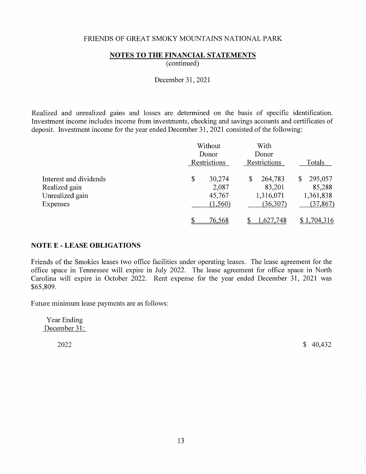### **NOTES TO THE FINANCIAL STATEMENTS**

( continued)

December 31, 2021

Realized and unrealized gains and losses are determined on the basis of specific identification. Investment income includes income from investments, checking and savings accounts and certificates of deposit. Investment income for the year ended December 31, 2021 consisted of the following:

|                                                                        |    | Without<br>Donor<br>Restrictions      |    | With<br>Donor<br>Restrictions               | Totals |                                             |
|------------------------------------------------------------------------|----|---------------------------------------|----|---------------------------------------------|--------|---------------------------------------------|
| Interest and dividends<br>Realized gain<br>Unrealized gain<br>Expenses | \$ | 30,274<br>2,087<br>45,767<br>(1, 560) | \$ | 264,783<br>83,201<br>1,316,071<br>(36, 307) | 8      | 295,057<br>85,288<br>1,361,838<br>(37, 867) |
|                                                                        |    | 76,568                                |    | 1,627,748                                   |        | \$1,704,316                                 |

### **NOTE E - LEASE OBLIGATIONS**

Friends of the Smokies leases two office facilities under operating leases. The lease agreement for the office space in Tennessee will expire in July 2022. The lease agreement for office space in North Carolina will expire in October 2022. Rent expense for the year ended December 31, 2021 was \$65,809.

Future minimum lease payments are as follows:

Year Ending December 31:

2022 \$ 40,432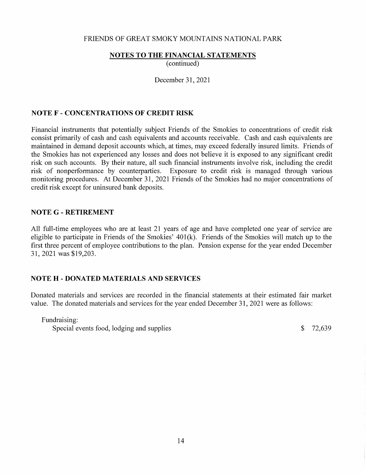### **NOTES TO THE FINANCIAL STATEMENTS**

(continued)

December 31, 2021

### **NOTE F - CONCENTRATIONS OF CREDIT RISK**

Financial instruments that potentially subject Friends of the Smokies to concentrations of credit risk consist primarily of cash and cash equivalents and accounts receivable. Cash and cash equivalents are maintained in demand deposit accounts which, at times, may exceed federally insured limits. Friends of the Smokies has not experienced any losses and does not believe it is exposed to any significant credit risk on such accounts. By their nature, all such financial instruments involve risk, including the credit risk of nonperformance by counterparties. Exposure to credit risk is managed through various monitoring procedures. At December 31, 2021 Friends of the Smokies had no major concentrations of credit risk except for uninsured bank deposits.

#### **NOTE G - RETIREMENT**

All full-time employees who are at least 21 years of age and have completed one year of service are eligible to participate in Friends of the Smokies'  $401(k)$ . Friends of the Smokies will match up to the first three percent of employee contributions to the plan. Pension expense for the year ended December 31, 2021 was \$19,203.

## **NOTE H - DONATED MATERIALS AND SERVICES**

Donated materials and services are recorded in the financial statements at their estimated fair market value. The donated materials and services for the year ended December 31, 2021 were as follows:

Fundraising:

Special events food, lodging and supplies  $$72,639$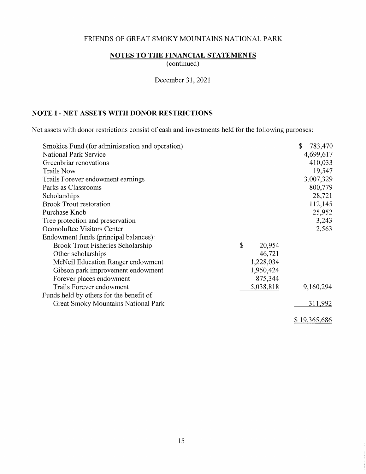# **NOTES TO THE FINANCIAL STATEMENTS**

(continued)

December 31, 2021

## **NOTE I - NET ASSETS WITH DONOR RESTRICTIONS**

Net assets with donor restrictions consist of cash and investments held for the following purposes:

| Smokies Fund (for administration and operation) |              | \$<br>783,470 |
|-------------------------------------------------|--------------|---------------|
| <b>National Park Service</b>                    |              | 4,699,617     |
| Greenbriar renovations                          |              | 410,033       |
| <b>Trails Now</b>                               |              | 19,547        |
| Trails Forever endowment earnings               |              | 3,007,329     |
| Parks as Classrooms                             |              | 800,779       |
| Scholarships                                    |              | 28,721        |
| <b>Brook Trout restoration</b>                  |              | 112,145       |
| Purchase Knob                                   |              | 25,952        |
| Tree protection and preservation                |              | 3,243         |
| Oconoluftee Visitors Center                     |              | 2,563         |
| Endowment funds (principal balances):           |              |               |
| Brook Trout Fisheries Scholarship               | \$<br>20,954 |               |
| Other scholarships                              | 46,721       |               |
| McNeil Education Ranger endowment               | 1,228,034    |               |
| Gibson park improvement endowment               | 1,950,424    |               |
| Forever places endowment                        | 875,344      |               |
| Trails Forever endowment                        | 5,038,818    | 9,160,294     |
| Funds held by others for the benefit of         |              |               |
| <b>Great Smoky Mountains National Park</b>      |              | 311,992       |
|                                                 |              | \$19,365,686  |

15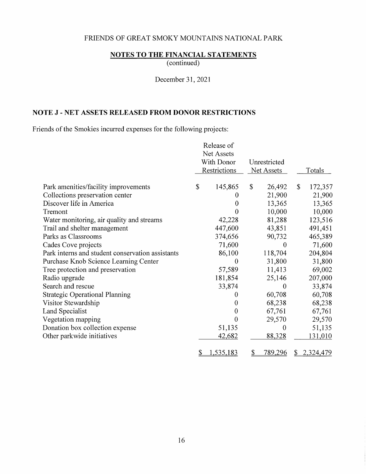# **NOTES TO THE FINANCIAL STATEMENTS**

( continued)

December 31, 2021

# **NOTE J - NET ASSETS RELEASED FROM DONOR RESTRICTIONS**

Friends of the Smokies incurred expenses for the following projects:

|                                                  |            | Release of   |                           |                   |    |               |
|--------------------------------------------------|------------|--------------|---------------------------|-------------------|----|---------------|
|                                                  |            | Net Assets   |                           |                   |    |               |
|                                                  | With Donor |              | Unrestricted              |                   |    |               |
|                                                  |            | Restrictions |                           | <b>Net Assets</b> |    | <b>Totals</b> |
| Park amenities/facility improvements             | \$         | 145,865      | $\boldsymbol{\mathsf{S}}$ | 26,492            | \$ | 172,357       |
| Collections preservation center                  |            | 0            |                           | 21,900            |    | 21,900        |
| Discover life in America                         |            | 0            |                           | 13,365            |    | 13,365        |
| Tremont                                          |            | 0            |                           | 10,000            |    | 10,000        |
| Water monitoring, air quality and streams        |            | 42,228       |                           | 81,288            |    | 123,516       |
| Trail and shelter management                     |            | 447,600      |                           | 43,851            |    | 491,451       |
| Parks as Classrooms                              |            | 374,656      |                           | 90,732            |    | 465,389       |
| Cades Cove projects                              |            | 71,600       |                           | $\boldsymbol{0}$  |    | 71,600        |
| Park interns and student conservation assistants |            | 86,100       |                           | 118,704           |    | 204,804       |
| Purchase Knob Science Learning Center            |            | $\theta$     |                           | 31,800            |    | 31,800        |
| Tree protection and preservation                 |            | 57,589       |                           | 11,413            |    | 69,002        |
| Radio upgrade                                    |            | 181,854      |                           | 25,146            |    | 207,000       |
| Search and rescue                                |            | 33,874       |                           | 0                 |    | 33,874        |
| <b>Strategic Operational Planning</b>            |            |              |                           | 60,708            |    | 60,708        |
| Visitor Stewardship                              |            | $\Omega$     |                           | 68,238            |    | 68,238        |
| Land Specialist                                  |            | 0            |                           | 67,761            |    | 67,761        |
| Vegetation mapping                               |            | 0            |                           | 29,570            |    | 29,570        |
| Donation box collection expense                  |            | 51,135       |                           | $\overline{0}$    |    | 51,135        |
| Other parkwide initiatives                       |            | 42,682       |                           | 88,328            |    | 131,010       |
|                                                  | \$         | 1,535,183    | \$                        | 789,296           | \$ | 2,324,479     |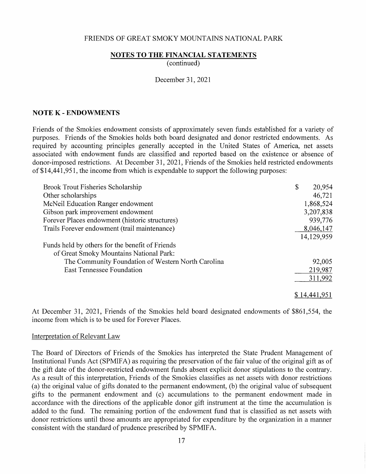#### **NOTES TO THE FINANCIAL STATEMENTS**

( continued)

#### December 31, 2021

#### **NOTE K - ENDOWMENTS**

Friends of the Smokies endowment consists of approximately seven funds established for a variety of purposes. Friends of the Smokies holds both board designated and donor restricted endowments. As required by accounting principles generally accepted in the United States of America, net assets associated with endowment funds are classified and reported based on the existence or absence of donor-imposed restrictions. At December 31, 2021, Friends of the Smokies held restricted endowments of \$14,441,951, the income from which is expendable to support the following purposes:

| Brook Trout Fisheries Scholarship                  | \$<br>20,954 |
|----------------------------------------------------|--------------|
| Other scholarships                                 | 46,721       |
| McNeil Education Ranger endowment                  | 1,868,524    |
| Gibson park improvement endowment                  | 3,207,838    |
| Forever Places endowment (historic structures)     | 939,776      |
| Trails Forever endowment (trail maintenance)       | 8,046,147    |
|                                                    | 14,129,959   |
| Funds held by others for the benefit of Friends    |              |
| of Great Smoky Mountains National Park:            |              |
| The Community Foundation of Western North Carolina | 92,005       |
| <b>East Tennessee Foundation</b>                   | 219,987      |
|                                                    | 311,992      |
|                                                    | \$14,441,951 |

At December 31, 2021, Friends of the Smokies held board designated endowments of \$861,554, the income from which is to be used for Forever Places.

#### Interpretation of Relevant Law

The Board of Directors of Friends of the Smokies has interpreted the State Prudent Management of Institutional Funds Act (SPMIFA) as requiring the preservation of the fair value of the original gift as of the gift date of the donor-restricted endowment funds absent explicit donor stipulations to the contrary. As a result of this interpretation, Friends of the Smokies classifies as net assets with donor restrictions ( a) the original value of gifts donated to the permanent endowment, (b) the original value of subsequent gifts to the permanent endowment and (c) accumulations to the permanent endowment made in accordance with the directions of the applicable donor gift instrument at the time the accumulation is added to the fund. The remaining portion of the endowment fund that is classified as net assets with donor restrictions until those amounts are appropriated for expenditure by the organization in a manner consistent with the standard of prudence prescribed by SPMIFA.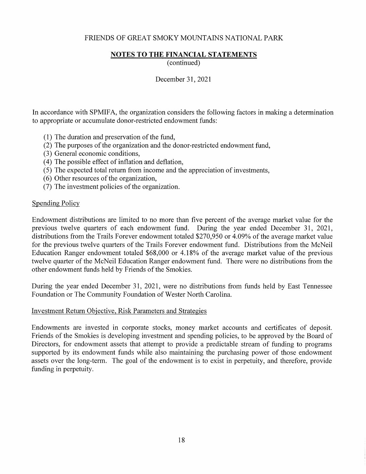# **NOTES TO THE FINANCIAL STATEMENTS**

( continued)

December 31, 2021

In accordance with SPMIFA, the organization considers the following factors in making a determination to appropriate or accumulate donor-restricted endowment funds:

- ( 1) The duration and preservation of the fund,
- (2) The purposes of the organization and the donor-restricted endowment fund,
- (3) General economic conditions,
- ( 4) The possible effect of inflation and deflation,
- ( 5) The expected total return from income and the appreciation of investments,
- ( 6) Other resources of the organization,
- (7) The investment policies of the organization.

### Spending Policy

Endowment distributions are limited to no more than five percent of the average market value for the previous twelve quarters of each endowment fund. During the year ended December 31, 2021, distributions from the Trails Forever endowment totaled \$270,950 or 4.09% of the average market value for the previous twelve quarters of the Trails Forever endowment fund. Distributions from the McNeil Education Ranger endowment totaled \$68,000 or 4.18% of the average market value of the previous twelve quarter of the McNeil Education Ranger endowment fund. There were no distributions from the other endowment funds held by Friends of the Smokies.

During the year ended December 31, 2021, were no distributions from funds held by East Tennessee Foundation or The Community Foundation of Wester North Carolina.

### Investment Return Objective, Risk Parameters and Strategies

Endowments are invested in corporate stocks, money market accounts and certificates of deposit. Friends of the Smokies is developing investment and spending policies, to be approved by the Board of Directors, for endowment assets that attempt to provide a predictable stream of funding to programs supported by its endowment funds while also maintaining the purchasing power of those endowment assets over the long-term. The goal of the endowment is to exist in perpetuity, and therefore, provide funding in perpetuity.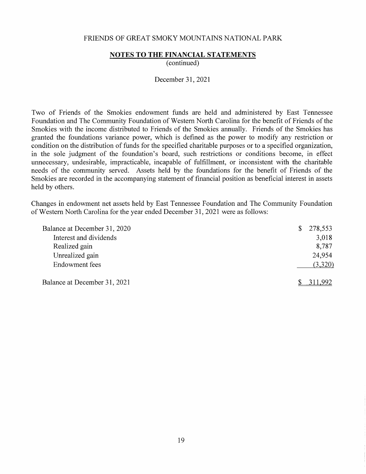#### **NOTES TO THE FINANCIAL STATEMENTS**

( continued)

December 31, 2021

Two of Friends of the Smokies endowment funds are held and administered by East Tennessee Foundation and The Community Foundation of Western North Carolina for the benefit of Friends of the Smokies with the income distributed to Friends of the Smokies annually. Friends of the Smokies has granted the foundations variance power, which is defined as the power to modify any restriction or condition on the distribution of funds for the specified charitable purposes or to a specified organization, in the sole judgment of the foundation's board, such restrictions or conditions become, in effect unnecessary, undesirable, impracticable, incapable of fulfillment, or inconsistent with the charitable needs of the community served. Assets held by the foundations for the benefit of Friends of the Smokies are recorded in the accompanying statement of financial position as beneficial interest in assets held by others.

Changes in endowment net assets held by East Tennessee Foundation and The Community Foundation of Western North Carolina for the year ended December 31, 2021 were as follows:

| Balance at December 31, 2020 | 278,553<br>\$ |
|------------------------------|---------------|
| Interest and dividends       | 3,018         |
| Realized gain                | 8,787         |
| Unrealized gain              | 24,954        |
| <b>Endowment</b> fees        | (3,320)       |
| Balance at December 31, 2021 |               |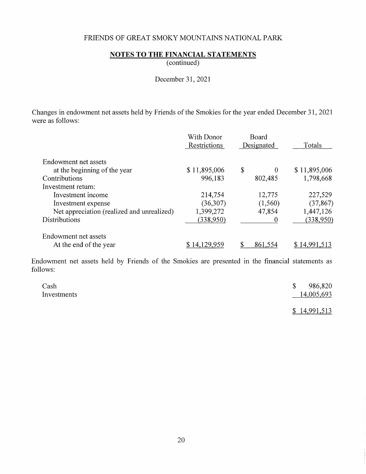# **NOTES TO THE FINANCIAL STATEMENTS**

( continued)

December 31, 2021

Changes in endowment net assets held by Friends of the Smokies for the year ended December 31, 2021 were as follows:

|                                            | With Donor<br>Restrictions | <b>Board</b><br>Designated | Totals       |
|--------------------------------------------|----------------------------|----------------------------|--------------|
| Endowment net assets                       |                            |                            |              |
| at the beginning of the year               | \$11,895,006               | \$<br>$\Omega$             | \$11,895,006 |
| Contributions                              | 996,183                    | 802,485                    | 1,798,668    |
| Investment return:                         |                            |                            |              |
| Investment income                          | 214,754                    | 12,775                     | 227,529      |
| Investment expense                         | (36,307)                   | (1,560)                    | (37, 867)    |
| Net appreciation (realized and unrealized) | 1,399,272                  | 47,854                     | 1,447,126    |
| <b>Distributions</b>                       | (338,950)                  |                            | (338,950)    |
| Endowment net assets                       |                            |                            |              |
| At the end of the year                     |                            | 861,554                    | 14.991       |

Endowment net assets held by Friends of the Smokies are presented in the financial statements as follows:

| Cash        | 986,820<br>$\mathcal{S}$ |  |
|-------------|--------------------------|--|
| Investments | 14,005,693               |  |
|             |                          |  |

\$ 14,991,513